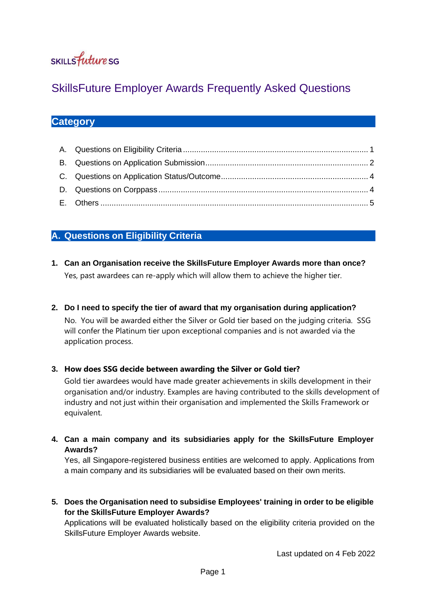

# SkillsFuture Employer Awards Frequently Asked Questions

# **Category**

## <span id="page-0-0"></span>**A. Questions on Eligibility Criteria**

**1. Can an Organisation receive the SkillsFuture Employer Awards more than once?** Yes, past awardees can re-apply which will allow them to achieve the higher tier.

#### **2. Do I need to specify the tier of award that my organisation during application?**

No. You will be awarded either the Silver or Gold tier based on the judging criteria. SSG will confer the Platinum tier upon exceptional companies and is not awarded via the application process.

#### **3. How does SSG decide between awarding the Silver or Gold tier?**

Gold tier awardees would have made greater achievements in skills development in their organisation and/or industry. Examples are having contributed to the skills development of industry and not just within their organisation and implemented the Skills Framework or equivalent.

**4. Can a main company and its subsidiaries apply for the SkillsFuture Employer Awards?**

Yes, all Singapore-registered business entities are welcomed to apply. Applications from a main company and its subsidiaries will be evaluated based on their own merits.

**5. Does the Organisation need to subsidise Employees' training in order to be eligible for the SkillsFuture Employer Awards?**

Applications will be evaluated holistically based on the eligibility criteria provided on the SkillsFuture Employer Awards website.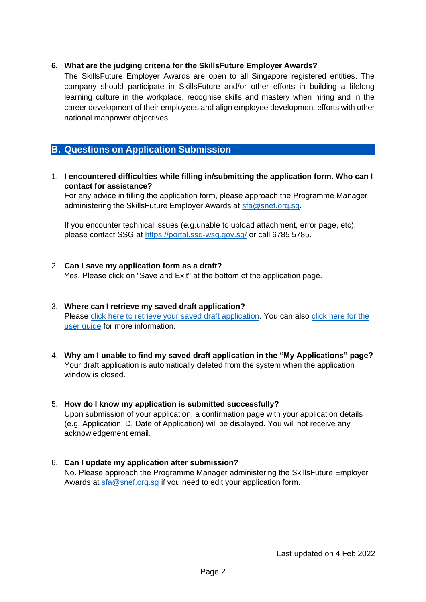#### **6. What are the judging criteria for the SkillsFuture Employer Awards?**

The SkillsFuture Employer Awards are open to all Singapore registered entities. The company should participate in SkillsFuture and/or other efforts in building a lifelong learning culture in the workplace, recognise skills and mastery when hiring and in the career development of their employees and align employee development efforts with other national manpower objectives.

## <span id="page-1-0"></span>**B. Questions on Application Submission**

1. **I encountered difficulties while filling in/submitting the application form. Who can I contact for assistance?**

For any advice in filling the application form, please approach the Programme Manager administering the SkillsFuture Employer Awards at [sfa@snef.org.sg.](mailto:sfa@snef.org.sg)

If you encounter technical issues (e.g.unable to upload attachment, error page, etc), please contact SSG at <https://portal.ssg-wsg.gov.sg/> or call 6785 5785.

2. **Can I save my application form as a draft?** Yes. Please click on "Save and Exit" at the bottom of the application page.

#### 3. **Where can I retrieve my saved draft application?** Please [click here to retrieve your saved draft application.](https://programmes.enterprisejobskills.gov.sg/EmployerAwards/MyApplications.aspx) You can also [click here for the](https://programmes.enterprisejobskills.gov.sg/EmployerAwards_Utilities/SkillsFuture_Employer_Awards_Guide.pdf) user [guide](https://programmes.enterprisejobskills.gov.sg/EmployerAwards_Utilities/SkillsFuture_Employer_Awards_Guide.pdf) for more information.

- 4. **Why am I unable to find my saved draft application in the "My Applications" page?** Your draft application is automatically deleted from the system when the application window is closed.
- 5. **How do I know my application is submitted successfully?** Upon submission of your application, a confirmation page with your application details (e.g. Application ID, Date of Application) will be displayed. You will not receive any acknowledgement email.

#### 6. **Can I update my application after submission?** No. Please approach the Programme Manager administering the SkillsFuture Employer Awards at [sfa@snef.org.sg](mailto:sfa@snef.org.sg) if you need to edit your application form.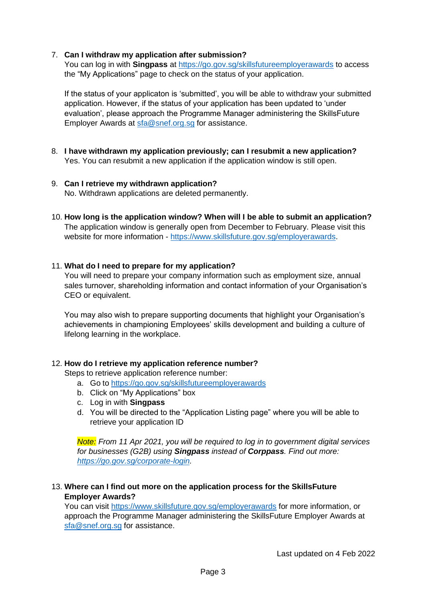#### 7. **Can I withdraw my application after submission?**

You can log in with **Singpass** at<https://go.gov.sg/skillsfutureemployerawards> to access the "My Applications" page to check on the status of your application.

If the status of your applicaton is 'submitted', you will be able to withdraw your submitted application. However, if the status of your application has been updated to 'under evaluation', please approach the Programme Manager administering the SkillsFuture Employer Awards at [sfa@snef.org.sg](mailto:sfa@snef.org.sg) for assistance.

8. **I have withdrawn my application previously; can I resubmit a new application?** Yes. You can resubmit a new application if the application window is still open.

#### 9. **Can I retrieve my withdrawn application?** No. Withdrawn applications are deleted permanently.

10. **How long is the application window? When will I be able to submit an application?** The application window is generally open from December to February. Please visit this website for more information - [https://www.skillsfuture.gov.sg/employerawards.](https://www.skillsfuture.gov.sg/employerawards)

#### 11. **What do I need to prepare for my application?**

You will need to prepare your company information such as employment size, annual sales turnover, shareholding information and contact information of your Organisation's CEO or equivalent.

You may also wish to prepare supporting documents that highlight your Organisation's achievements in championing Employees' skills development and building a culture of lifelong learning in the workplace.

#### 12. **How do I retrieve my application reference number?**

Steps to retrieve application reference number:

- a. Go to <https://go.gov.sg/skillsfutureemployerawards>
- b. Click on "My Applications" box
- c. Log in with **Singpass**
- d. You will be directed to the "Application Listing page" where you will be able to retrieve your application ID

*Note: From 11 Apr 2021, you will be required to log in to government digital services for businesses (G2B) using Singpass instead of Corppass. Find out more: [https://go.gov.sg/corporate-login.](https://go.gov.sg/corporate-login)*

#### 13. **Where can I find out more on the application process for the SkillsFuture Employer Awards?**

You can visit<https://www.skillsfuture.gov.sg/employerawards> for more information, or approach the Programme Manager administering the SkillsFuture Employer Awards at [sfa@snef.org.sg](mailto:sfa@snef.org.sg) for assistance.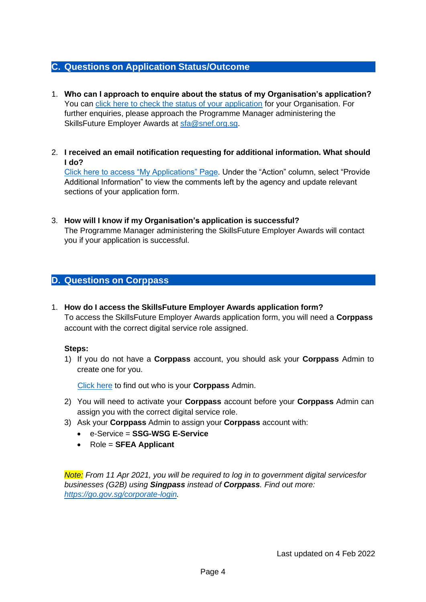# <span id="page-3-0"></span>**C. Questions on Application Status/Outcome**

- 1. **Who can I approach to enquire about the status of my Organisation's application?** You can [click here to check the status of your application](https://programmes.enterprisejobskills.gov.sg/EmployerAwards/MyApplications.aspx) for your Organisation. For further enquiries, please approach the Programme Manager administering the SkillsFuture Employer Awards at [sfa@snef.org.sg.](mailto:sfa@snef.org.sg)
- 2. **I received an email notification requesting for additional information. What should I do?**

[Click here to access "My Applications" Page.](https://programmes.enterprisejobskills.gov.sg/EmployerAwards/MyApplication.aspx) Under the "Action" column, select "Provide Additional Information" to view the comments left by the agency and update relevant sections of your application form.

3. **How will I know if my Organisation's application is successful?** The Programme Manager administering the SkillsFuture Employer Awards will contact you if your application is successful.

# <span id="page-3-1"></span>**D. Questions on Corppass**

1. **How do I access the SkillsFuture Employer Awards application form?** To access the SkillsFuture Employer Awards application form, you will need a **Corppass** account with the correct digital service role assigned.

## **Steps:**

1) If you do not have a **Corppass** account, you should ask your **Corppass** Admin to create one for you.

[Click](https://www.corppass.gov.sg/corppass/enquirecp/searchuen) here to find out who is your **Corppass** Admin.

- 2) You will need to activate your **Corppass** account before your **Corppass** Admin can assign you with the correct digital service role.
- 3) Ask your **Corppass** Admin to assign your **Corppass** account with:
	- e-Service = **SSG-WSG E-Service**
	- Role = **SFEA Applicant**

*Note: From 11 Apr 2021, you will be required to log in to government digital servicesfor businesses (G2B) using Singpass instead of Corppass. Find out more: [https://go.gov.sg/corporate-login.](https://go.gov.sg/corporate-login)*